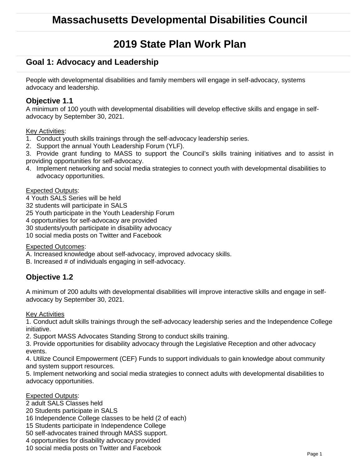# **2019 State Plan Work Plan**

# **Goal 1: Advocacy and Leadership**

People with developmental disabilities and family members will engage in self-advocacy, systems advocacy and leadership.

### **Objective 1.1**

A minimum of 100 youth with developmental disabilities will develop effective skills and engage in selfadvocacy by September 30, 2021.

#### Key Activities:

- 1. Conduct youth skills trainings through the self-advocacy leadership series.
- 2. Support the annual Youth Leadership Forum (YLF).

3. Provide grant funding to MASS to support the Council's skills training initiatives and to assist in providing opportunities for self-advocacy.

4. Implement networking and social media strategies to connect youth with developmental disabilities to advocacy opportunities.

#### Expected Outputs:

4 Youth SALS Series will be held

32 students will participate in SALS

25 Youth participate in the Youth Leadership Forum

4 opportunities for self-advocacy are provided

30 students/youth participate in disability advocacy

10 social media posts on Twitter and Facebook

#### Expected Outcomes:

A. Increased knowledge about self-advocacy, improved advocacy skills.

B. Increased # of individuals engaging in self-advocacy.

### **Objective 1.2**

A minimum of 200 adults with developmental disabilities will improve interactive skills and engage in selfadvocacy by September 30, 2021.

#### Key Activities

1. Conduct adult skills trainings through the self-advocacy leadership series and the Independence College initiative.

2. Support MASS Advocates Standing Strong to conduct skills training.

3. Provide opportunities for disability advocacy through the Legislative Reception and other advocacy events.

4. Utilize Council Empowerment (CEF) Funds to support individuals to gain knowledge about community and system support resources.

5. Implement networking and social media strategies to connect adults with developmental disabilities to advocacy opportunities.

#### Expected Outputs:

2 adult SALS Classes held

20 Students participate in SALS

- 16 Independence College classes to be held (2 of each)
- 15 Students participate in Independence College
- 50 self-advocates trained through MASS support.
- 4 opportunities for disability advocacy provided
- 10 social media posts on Twitter and Facebook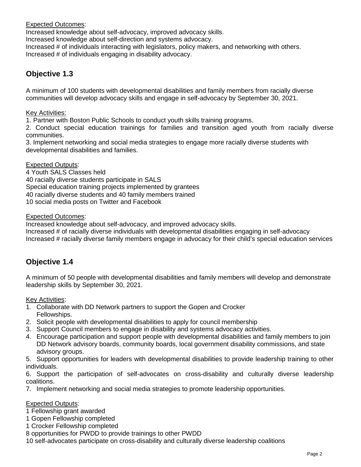Expected Outcomes:

Increased knowledge about self-advocacy, improved advocacy skills.

Increased knowledge about self-direction and systems advocacy.

Increased # of individuals interacting with legislators, policy makers, and networking with others. Increased # of individuals engaging in disability advocacy.

### **Objective 1.3**

A minimum of 100 students with developmental disabilities and family members from racially diverse communities will develop advocacy skills and engage in self-advocacy by September 30, 2021.

Key Activities:

1. Partner with Boston Public Schools to conduct youth skills training programs.

2. Conduct special education trainings for families and transition aged youth from racially diverse communities.

3. Implement networking and social media strategies to engage more racially diverse students with developmental disabilities and families.

#### Expected Outputs:

4 Youth SALS Classes held 40 racially diverse students participate in SALS Special education training projects implemented by grantees 40 racially diverse students and 40 family members trained 10 social media posts on Twitter and Facebook

#### Expected Outcomes:

Increased knowledge about self-advocacy, and improved advocacy skills.

Increased # of racially diverse individuals with developmental disabilities engaging in self-advocacy Increased # racially diverse family members engage in advocacy for their child's special education services

# **Objective 1.4**

A minimum of 50 people with developmental disabilities and family members will develop and demonstrate leadership skills by September 30, 2021.

Key Activities:

- 1. Collaborate with DD Network partners to support the Gopen and Crocker Fellowships.
- 2. Solicit people with developmental disabilities to apply for council membership
- 3. Support Council members to engage in disability and systems advocacy activities.
- 4. Encourage participation and support people with developmental disabilities and family members to join DD Network advisory boards, community boards, local government disability commissions, and state advisory groups.

5. Support opportunities for leaders with developmental disabilities to provide leadership training to other individuals.

6. Support the participation of self-advocates on cross-disability and culturally diverse leadership coalitions.

7. Implement networking and social media strategies to promote leadership opportunities.

### Expected Outputs:

1 Fellowship grant awarded

- 1 Gopen Fellowship completed
- 1 Crocker Fellowship completed
- 8 opportunities for PWDD to provide trainings to other PWDD
- 10 self-advocates participate on cross-disability and culturally diverse leadership coalitions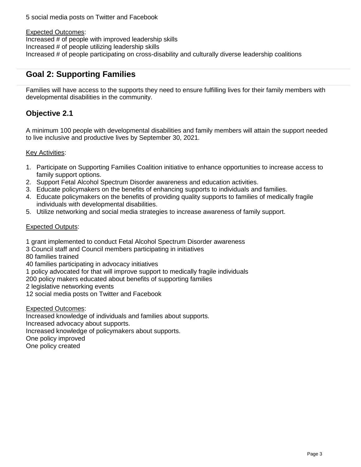5 social media posts on Twitter and Facebook

Expected Outcomes:

Increased # of people with improved leadership skills Increased # of people utilizing leadership skills Increased # of people participating on cross-disability and culturally diverse leadership coalitions

### **Goal 2: Supporting Families**

Families will have access to the supports they need to ensure fulfilling lives for their family members with developmental disabilities in the community.

### **Objective 2.1**

A minimum 100 people with developmental disabilities and family members will attain the support needed to live inclusive and productive lives by September 30, 2021.

#### **Key Activities:**

- 1. Participate on Supporting Families Coalition initiative to enhance opportunities to increase access to family support options.
- 2. Support Fetal Alcohol Spectrum Disorder awareness and education activities.
- 3. Educate policymakers on the benefits of enhancing supports to individuals and families.
- 4. Educate policymakers on the benefits of providing quality supports to families of medically fragile individuals with developmental disabilities.
- 5. Utilize networking and social media strategies to increase awareness of family support.

#### **Expected Outputs:**

1 grant implemented to conduct Fetal Alcohol Spectrum Disorder awareness

- 3 Council staff and Council members participating in initiatives
- 80 families trained
- 40 families participating in advocacy initiatives
- 1 policy advocated for that will improve support to medically fragile individuals
- 200 policy makers educated about benefits of supporting families
- 2 legislative networking events
- 12 social media posts on Twitter and Facebook

Expected Outcomes:

Increased knowledge of individuals and families about supports.

Increased advocacy about supports.

Increased knowledge of policymakers about supports.

One policy improved

One policy created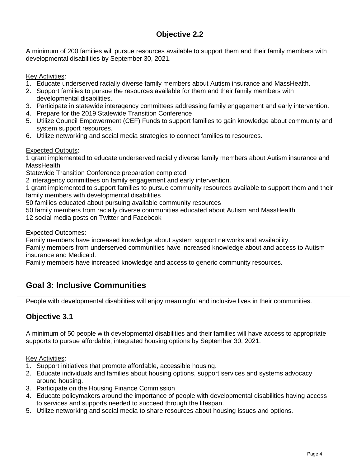# **Objective 2.2**

A minimum of 200 families will pursue resources available to support them and their family members with developmental disabilities by September 30, 2021.

Key Activities:

- 1. Educate underserved racially diverse family members about Autism insurance and MassHealth.
- 2. Support families to pursue the resources available for them and their family members with developmental disabilities.
- 3. Participate in statewide interagency committees addressing family engagement and early intervention.
- 4. Prepare for the 2019 Statewide Transition Conference
- 5. Utilize Council Empowerment (CEF) Funds to support families to gain knowledge about community and system support resources.
- 6. Utilize networking and social media strategies to connect families to resources.

#### Expected Outputs:

1 grant implemented to educate underserved racially diverse family members about Autism insurance and **MassHealth** 

Statewide Transition Conference preparation completed

2 interagency committees on family engagement and early intervention.

1 grant implemented to support families to pursue community resources available to support them and their family members with developmental disabilities

- 50 families educated about pursuing available community resources
- 50 family members from racially diverse communities educated about Autism and MassHealth
- 12 social media posts on Twitter and Facebook

Expected Outcomes:

Family members have increased knowledge about system support networks and availability.

Family members from underserved communities have increased knowledge about and access to Autism insurance and Medicaid.

Family members have increased knowledge and access to generic community resources.

# **Goal 3: Inclusive Communities**

People with developmental disabilities will enjoy meaningful and inclusive lives in their communities.

### **Objective 3.1**

A minimum of 50 people with developmental disabilities and their families will have access to appropriate supports to pursue affordable, integrated housing options by September 30, 2021.

### Key Activities:

- 1. Support initiatives that promote affordable, accessible housing.
- 2. Educate individuals and families about housing options, support services and systems advocacy around housing.
- 3. Participate on the Housing Finance Commission
- 4. Educate policymakers around the importance of people with developmental disabilities having access to services and supports needed to succeed through the lifespan.
- 5. Utilize networking and social media to share resources about housing issues and options.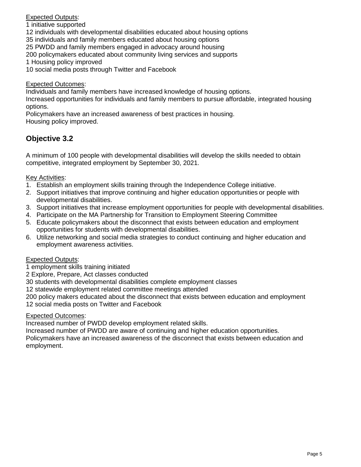Expected Outputs:

1 initiative supported

12 individuals with developmental disabilities educated about housing options

35 individuals and family members educated about housing options

25 PWDD and family members engaged in advocacy around housing

200 policymakers educated about community living services and supports

1 Housing policy improved

10 social media posts through Twitter and Facebook

Expected Outcomes:

Individuals and family members have increased knowledge of housing options.

Increased opportunities for individuals and family members to pursue affordable, integrated housing options.

Policymakers have an increased awareness of best practices in housing. Housing policy improved.

## **Objective 3.2**

A minimum of 100 people with developmental disabilities will develop the skills needed to obtain competitive, integrated employment by September 30, 2021.

Key Activities:

- 1. Establish an employment skills training through the Independence College initiative.
- 2. Support initiatives that improve continuing and higher education opportunities or people with developmental disabilities.
- 3. Support initiatives that increase employment opportunities for people with developmental disabilities.
- 4. Participate on the MA Partnership for Transition to Employment Steering Committee
- 5. Educate policymakers about the disconnect that exists between education and employment opportunities for students with developmental disabilities.
- 6. Utilize networking and social media strategies to conduct continuing and higher education and employment awareness activities.

### Expected Outputs:

1 employment skills training initiated

- 2 Explore, Prepare, Act classes conducted
- 30 students with developmental disabilities complete employment classes
- 12 statewide employment related committee meetings attended

200 policy makers educated about the disconnect that exists between education and employment 12 social media posts on Twitter and Facebook

### Expected Outcomes:

Increased number of PWDD develop employment related skills.

Increased number of PWDD are aware of continuing and higher education opportunities.

Policymakers have an increased awareness of the disconnect that exists between education and employment.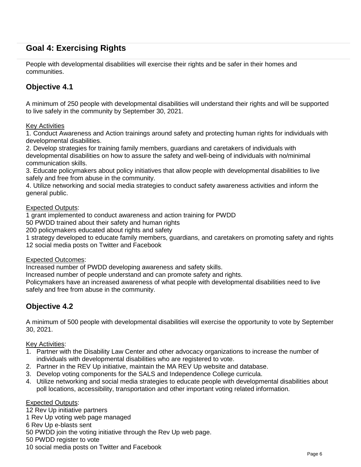# **Goal 4: Exercising Rights**

People with developmental disabilities will exercise their rights and be safer in their homes and communities.

### **Objective 4.1**

A minimum of 250 people with developmental disabilities will understand their rights and will be supported to live safely in the community by September 30, 2021.

#### Key Activities

1. Conduct Awareness and Action trainings around safety and protecting human rights for individuals with developmental disabilities.

2. Develop strategies for training family members, guardians and caretakers of individuals with developmental disabilities on how to assure the safety and well-being of individuals with no/minimal communication skills.

3. Educate policymakers about policy initiatives that allow people with developmental disabilities to live safely and free from abuse in the community.

4. Utilize networking and social media strategies to conduct safety awareness activities and inform the general public.

#### Expected Outputs:

1 grant implemented to conduct awareness and action training for PWDD

50 PWDD trained about their safety and human rights

200 policymakers educated about rights and safety

1 strategy developed to educate family members, guardians, and caretakers on promoting safety and rights 12 social media posts on Twitter and Facebook

#### Expected Outcomes:

Increased number of PWDD developing awareness and safety skills.

Increased number of people understand and can promote safety and rights.

Policymakers have an increased awareness of what people with developmental disabilities need to live safely and free from abuse in the community.

### **Objective 4.2**

A minimum of 500 people with developmental disabilities will exercise the opportunity to vote by September 30, 2021.

#### Key Activities:

- 1. Partner with the Disability Law Center and other advocacy organizations to increase the number of individuals with developmental disabilities who are registered to vote.
- 2. Partner in the REV Up initiative, maintain the MA REV Up website and database.
- 3. Develop voting components for the SALS and Independence College curricula.
- 4. Utilize networking and social media strategies to educate people with developmental disabilities about poll locations, accessibility, transportation and other important voting related information.

#### Expected Outputs:

12 Rev Up initiative partners

- 1 Rev Up voting web page managed
- 6 Rev Up e-blasts sent
- 50 PWDD join the voting initiative through the Rev Up web page.
- 50 PWDD register to vote
- 10 social media posts on Twitter and Facebook